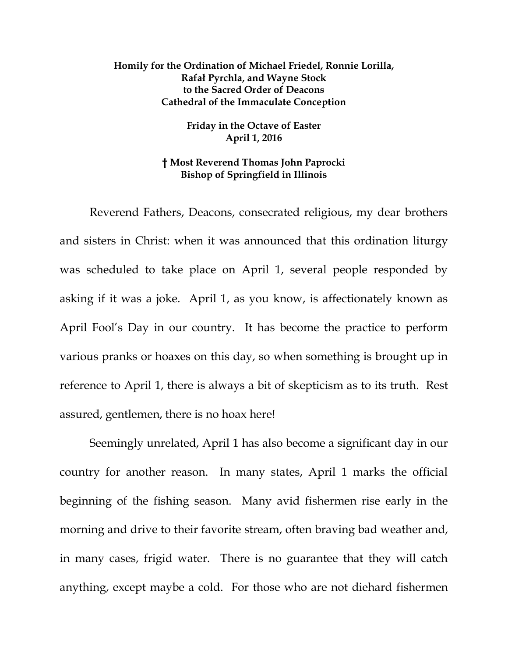## **Homily for the Ordination of Michael Friedel, Ronnie Lorilla, Rafał Pyrchla, and Wayne Stock to the Sacred Order of Deacons Cathedral of the Immaculate Conception**

**Friday in the Octave of Easter April 1, 2016**

## **† Most Reverend Thomas John Paprocki Bishop of Springfield in Illinois**

Reverend Fathers, Deacons, consecrated religious, my dear brothers and sisters in Christ: when it was announced that this ordination liturgy was scheduled to take place on April 1, several people responded by asking if it was a joke. April 1, as you know, is affectionately known as April Fool's Day in our country. It has become the practice to perform various pranks or hoaxes on this day, so when something is brought up in reference to April 1, there is always a bit of skepticism as to its truth. Rest assured, gentlemen, there is no hoax here!

Seemingly unrelated, April 1 has also become a significant day in our country for another reason. In many states, April 1 marks the official beginning of the fishing season. Many avid fishermen rise early in the morning and drive to their favorite stream, often braving bad weather and, in many cases, frigid water. There is no guarantee that they will catch anything, except maybe a cold. For those who are not diehard fishermen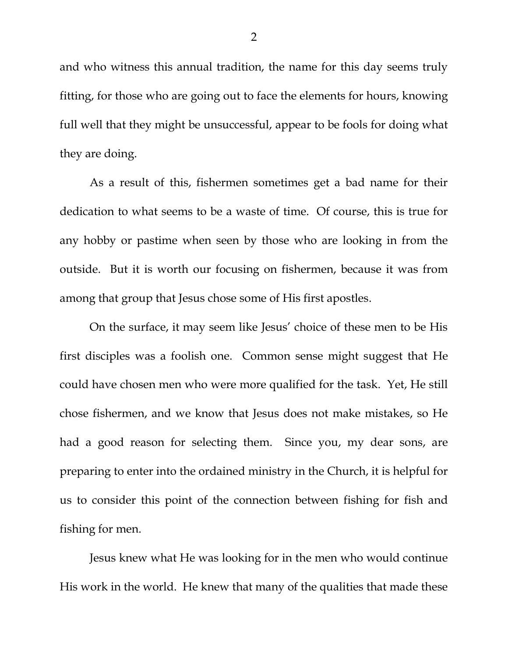and who witness this annual tradition, the name for this day seems truly fitting, for those who are going out to face the elements for hours, knowing full well that they might be unsuccessful, appear to be fools for doing what they are doing.

As a result of this, fishermen sometimes get a bad name for their dedication to what seems to be a waste of time. Of course, this is true for any hobby or pastime when seen by those who are looking in from the outside. But it is worth our focusing on fishermen, because it was from among that group that Jesus chose some of His first apostles.

On the surface, it may seem like Jesus' choice of these men to be His first disciples was a foolish one. Common sense might suggest that He could have chosen men who were more qualified for the task. Yet, He still chose fishermen, and we know that Jesus does not make mistakes, so He had a good reason for selecting them. Since you, my dear sons, are preparing to enter into the ordained ministry in the Church, it is helpful for us to consider this point of the connection between fishing for fish and fishing for men.

Jesus knew what He was looking for in the men who would continue His work in the world. He knew that many of the qualities that made these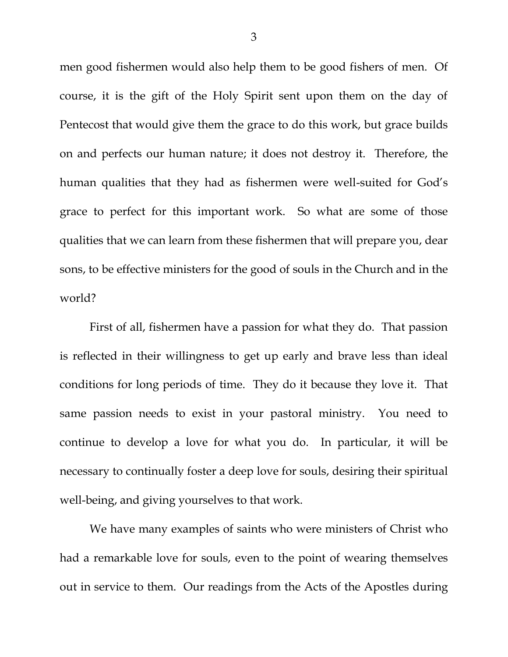men good fishermen would also help them to be good fishers of men. Of course, it is the gift of the Holy Spirit sent upon them on the day of Pentecost that would give them the grace to do this work, but grace builds on and perfects our human nature; it does not destroy it. Therefore, the human qualities that they had as fishermen were well-suited for God's grace to perfect for this important work. So what are some of those qualities that we can learn from these fishermen that will prepare you, dear sons, to be effective ministers for the good of souls in the Church and in the world?

First of all, fishermen have a passion for what they do. That passion is reflected in their willingness to get up early and brave less than ideal conditions for long periods of time. They do it because they love it. That same passion needs to exist in your pastoral ministry. You need to continue to develop a love for what you do. In particular, it will be necessary to continually foster a deep love for souls, desiring their spiritual well-being, and giving yourselves to that work.

We have many examples of saints who were ministers of Christ who had a remarkable love for souls, even to the point of wearing themselves out in service to them. Our readings from the Acts of the Apostles during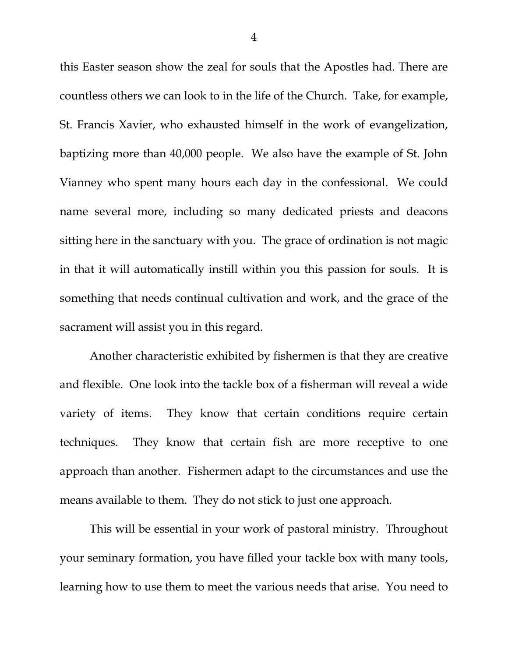this Easter season show the zeal for souls that the Apostles had. There are countless others we can look to in the life of the Church. Take, for example, St. Francis Xavier, who exhausted himself in the work of evangelization, baptizing more than 40,000 people. We also have the example of St. John Vianney who spent many hours each day in the confessional. We could name several more, including so many dedicated priests and deacons sitting here in the sanctuary with you. The grace of ordination is not magic in that it will automatically instill within you this passion for souls. It is something that needs continual cultivation and work, and the grace of the sacrament will assist you in this regard.

Another characteristic exhibited by fishermen is that they are creative and flexible. One look into the tackle box of a fisherman will reveal a wide variety of items. They know that certain conditions require certain techniques. They know that certain fish are more receptive to one approach than another. Fishermen adapt to the circumstances and use the means available to them. They do not stick to just one approach.

This will be essential in your work of pastoral ministry. Throughout your seminary formation, you have filled your tackle box with many tools, learning how to use them to meet the various needs that arise. You need to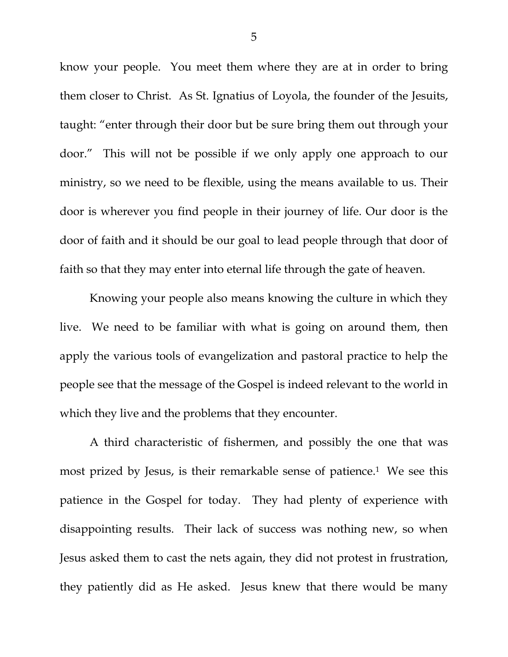know your people. You meet them where they are at in order to bring them closer to Christ. As St. Ignatius of Loyola, the founder of the Jesuits, taught: "enter through their door but be sure bring them out through your door." This will not be possible if we only apply one approach to our ministry, so we need to be flexible, using the means available to us. Their door is wherever you find people in their journey of life. Our door is the door of faith and it should be our goal to lead people through that door of faith so that they may enter into eternal life through the gate of heaven.

Knowing your people also means knowing the culture in which they live. We need to be familiar with what is going on around them, then apply the various tools of evangelization and pastoral practice to help the people see that the message of the Gospel is indeed relevant to the world in which they live and the problems that they encounter.

A third characteristic of fishermen, and possibly the one that was most prized by Jesus, is their remarkable sense of patience.<sup>1</sup> We see this patience in the Gospel for today. They had plenty of experience with disappointing results. Their lack of success was nothing new, so when Jesus asked them to cast the nets again, they did not protest in frustration, they patiently did as He asked. Jesus knew that there would be many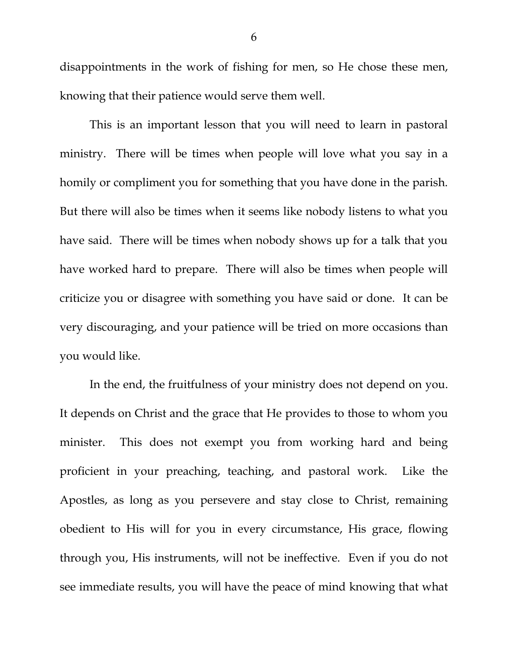disappointments in the work of fishing for men, so He chose these men, knowing that their patience would serve them well.

This is an important lesson that you will need to learn in pastoral ministry. There will be times when people will love what you say in a homily or compliment you for something that you have done in the parish. But there will also be times when it seems like nobody listens to what you have said. There will be times when nobody shows up for a talk that you have worked hard to prepare. There will also be times when people will criticize you or disagree with something you have said or done. It can be very discouraging, and your patience will be tried on more occasions than you would like.

In the end, the fruitfulness of your ministry does not depend on you. It depends on Christ and the grace that He provides to those to whom you minister. This does not exempt you from working hard and being proficient in your preaching, teaching, and pastoral work. Like the Apostles, as long as you persevere and stay close to Christ, remaining obedient to His will for you in every circumstance, His grace, flowing through you, His instruments, will not be ineffective. Even if you do not see immediate results, you will have the peace of mind knowing that what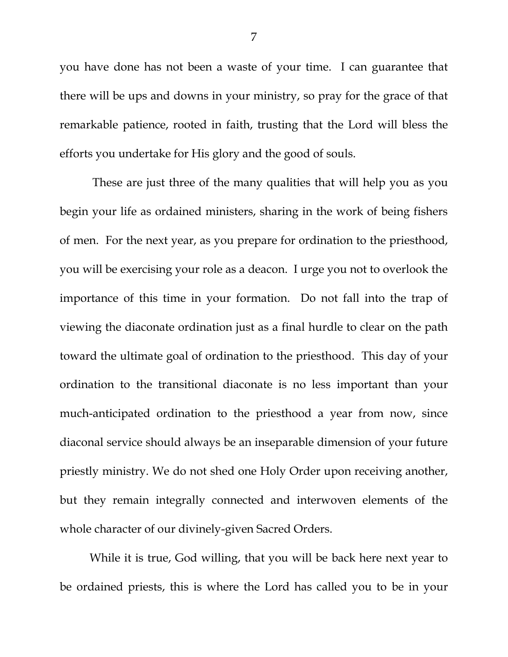you have done has not been a waste of your time. I can guarantee that there will be ups and downs in your ministry, so pray for the grace of that remarkable patience, rooted in faith, trusting that the Lord will bless the efforts you undertake for His glory and the good of souls.

These are just three of the many qualities that will help you as you begin your life as ordained ministers, sharing in the work of being fishers of men. For the next year, as you prepare for ordination to the priesthood, you will be exercising your role as a deacon. I urge you not to overlook the importance of this time in your formation. Do not fall into the trap of viewing the diaconate ordination just as a final hurdle to clear on the path toward the ultimate goal of ordination to the priesthood. This day of your ordination to the transitional diaconate is no less important than your much-anticipated ordination to the priesthood a year from now, since diaconal service should always be an inseparable dimension of your future priestly ministry. We do not shed one Holy Order upon receiving another, but they remain integrally connected and interwoven elements of the whole character of our divinely-given Sacred Orders.

While it is true, God willing, that you will be back here next year to be ordained priests, this is where the Lord has called you to be in your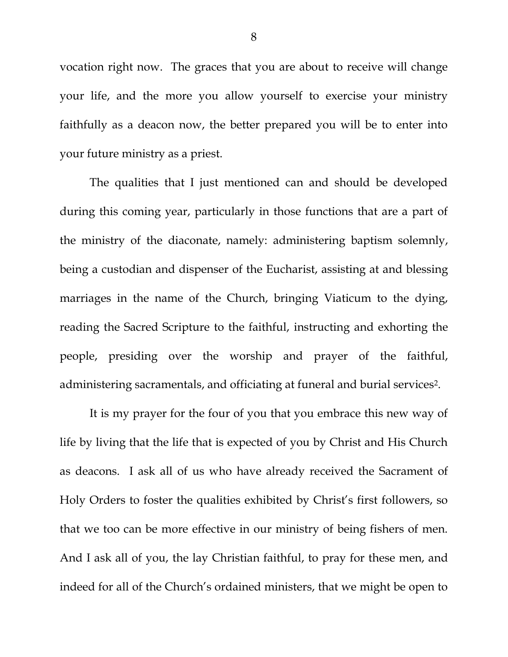vocation right now. The graces that you are about to receive will change your life, and the more you allow yourself to exercise your ministry faithfully as a deacon now, the better prepared you will be to enter into your future ministry as a priest.

The qualities that I just mentioned can and should be developed during this coming year, particularly in those functions that are a part of the ministry of the diaconate, namely: administering baptism solemnly, being a custodian and dispenser of the Eucharist, assisting at and blessing marriages in the name of the Church, bringing Viaticum to the dying, reading the Sacred Scripture to the faithful, instructing and exhorting the people, presiding over the worship and prayer of the faithful, administering sacramentals, and officiating at funeral and burial services<sup>2</sup>.

It is my prayer for the four of you that you embrace this new way of life by living that the life that is expected of you by Christ and His Church as deacons. I ask all of us who have already received the Sacrament of Holy Orders to foster the qualities exhibited by Christ's first followers, so that we too can be more effective in our ministry of being fishers of men. And I ask all of you, the lay Christian faithful, to pray for these men, and indeed for all of the Church's ordained ministers, that we might be open to